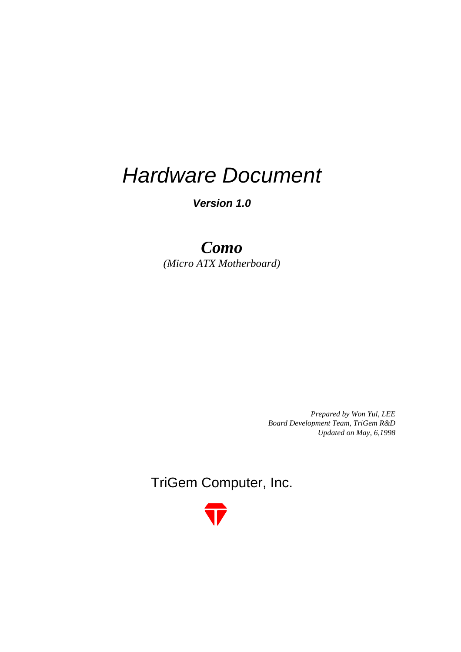# *Hardware Document*

*Version 1.0*

# *Como (Micro ATX Motherboard)*

*Prepared by Won Yul, LEE Board Development Team, TriGem R&D Updated on May, 6,1998*

TriGem Computer, Inc.

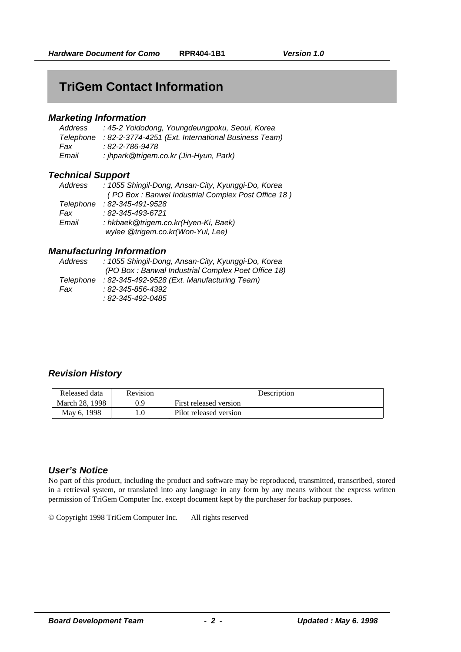# **TriGem Contact Information**

### *Marketing Information*

| Address | : 45-2 Yoidodong, Youngdeungpoku, Seoul, Korea                |
|---------|---------------------------------------------------------------|
|         | Telephone : 82-2-3774-4251 (Ext. International Business Team) |
| Fax     | : 82-2-786-9478                                               |
| Email   | : jhpark@trigem.co.kr (Jin-Hyun, Park)                        |

### *Technical Support*

| : 1055 Shingil-Dong, Ansan-City, Kyunggi-Do, Korea                        |
|---------------------------------------------------------------------------|
| (PO Box: Banwel Industrial Complex Post Office 18)                        |
| $: 82 - 345 - 491 - 9528$                                                 |
| $: 82 - 345 - 493 - 6721$                                                 |
| : hkbaek@trigem.co.kr(Hyen-Ki, Baek)<br>wylee @trigem.co.kr(Won-Yul, Lee) |
|                                                                           |

### *Manufacturing Information*

| Address   | : 1055 Shingil-Dong, Ansan-City, Kyunggi-Do, Korea |
|-----------|----------------------------------------------------|
|           | (PO Box: Banwal Industrial Complex Poet Office 18) |
| Telephone | : 82-345-492-9528 (Ext. Manufacturing Team)        |
| Fax       | : 82-345-856-4392                                  |
|           | : 82-345-492-0485                                  |
|           |                                                    |

# *Revision History*

| Released data  | <b>Revision</b> | Description            |
|----------------|-----------------|------------------------|
| March 28, 1998 | 0.9             | First released version |
| May 6, 1998    |                 | Pilot released version |

# *User's Notice*

No part of this product, including the product and software may be reproduced, transmitted, transcribed, stored in a retrieval system, or translated into any language in any form by any means without the express written permission of TriGem Computer Inc. except document kept by the purchaser for backup purposes.

© Copyright 1998 TriGem Computer Inc. All rights reserved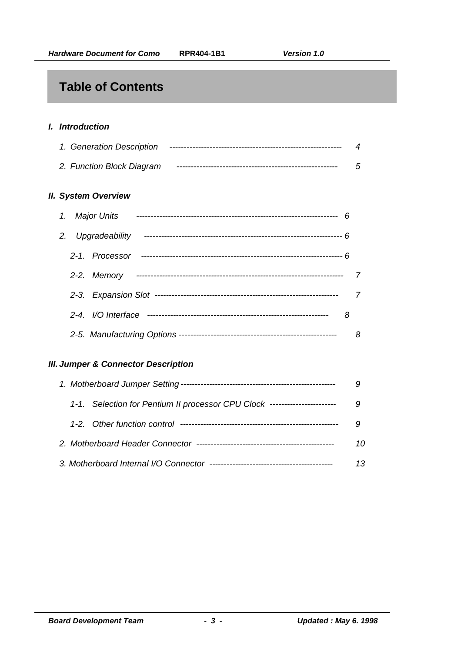# **Table of Contents**

# *I. Introduction*

| 1. Generation Description | $\boldsymbol{\varDelta}$ |
|---------------------------|--------------------------|
| 2. Function Block Diagram | 5                        |

### *II. System Overview*

|  | 1. Major Units    |   |   |
|--|-------------------|---|---|
|  | 2. Upgradeability |   |   |
|  | 2-1. Processor    |   |   |
|  | 2-2. Memory       |   |   |
|  |                   |   | 7 |
|  |                   | 8 |   |
|  |                   |   | 8 |

# *III. Jumper & Connector Description*

|  | 1-1. Selection for Pentium II processor CPU Clock ---------------------- |    |
|--|--------------------------------------------------------------------------|----|
|  |                                                                          |    |
|  |                                                                          | 10 |
|  |                                                                          | 13 |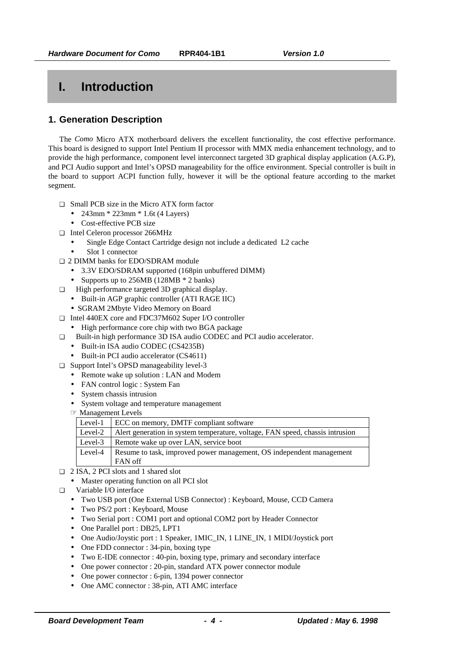# **I. Introduction**

# **1. Generation Description**

The *Como* Micro ATX motherboard delivers the excellent functionality, the cost effective performance. This board is designed to support Intel Pentium II processor with MMX media enhancement technology, and to provide the high performance, component level interconnect targeted 3D graphical display application (A.G.P), and PCI Audio support and Intel's OPSD manageability for the office environment. Special controller is built in the board to support ACPI function fully, however it will be the optional feature according to the market segment.

- ❑ Small PCB size in the Micro ATX form factor
	- 243mm \* 223mm \* 1.6t (4 Layers)
	- Cost-effective PCB size
- ❑ Intel Celeron processor 266MHz
	- Single Edge Contact Cartridge design not include a dedicated L2 cache
	- Slot 1 connector
- ❑ 2 DIMM banks for EDO/SDRAM module
	- 3.3V EDO/SDRAM supported (168pin unbuffered DIMM)
	- Supports up to 256MB (128MB  $*$  2 banks)
- ❑ High performance targeted 3D graphical display.
	- Built-in AGP graphic controller (ATI RAGE IIC)
	- SGRAM 2Mbyte Video Memory on Board
- ❑ Intel 440EX core and FDC37M602 Super I/O controller
	- High performance core chip with two BGA package
- ❑ Built-in high performance 3D ISA audio CODEC and PCI audio accelerator.
	- Built-in ISA audio CODEC (CS4235B)
	- Built-in PCI audio accelerator (CS4611)
- ❑ Support Intel's OPSD manageability level-3
	- Remote wake up solution : LAN and Modem
	- FAN control logic : System Fan
	- System chassis intrusion
	- System voltage and temperature management
	- ☞ Management Levels

| Level-1 | ECC on memory, DMTF compliant software                                        |
|---------|-------------------------------------------------------------------------------|
| Level-2 | Alert generation in system temperature, voltage, FAN speed, chassis intrusion |
| Level-3 | Remote wake up over LAN, service boot                                         |
| Level-4 | Resume to task, improved power management, OS independent management          |
|         | FAN off                                                                       |

- ❑ 2 ISA, 2 PCI slots and 1 shared slot
	- Master operating function on all PCI slot
- ❑ Variable I/O interface
	- Two USB port (One External USB Connector) : Keyboard, Mouse, CCD Camera
	- Two PS/2 port : Keyboard, Mouse
	- Two Serial port : COM1 port and optional COM2 port by Header Connector
	- One Parallel port : DB25, LPT1
	- One Audio/Joystic port : 1 Speaker, 1MIC\_IN, 1 LINE\_IN, 1 MIDI/Joystick port
	- One FDD connector : 34-pin, boxing type
	- Two E-IDE connector : 40-pin, boxing type, primary and secondary interface
	- One power connector : 20-pin, standard ATX power connector module
	- One power connector : 6-pin, 1394 power connector
	- One AMC connector : 38-pin, ATI AMC interface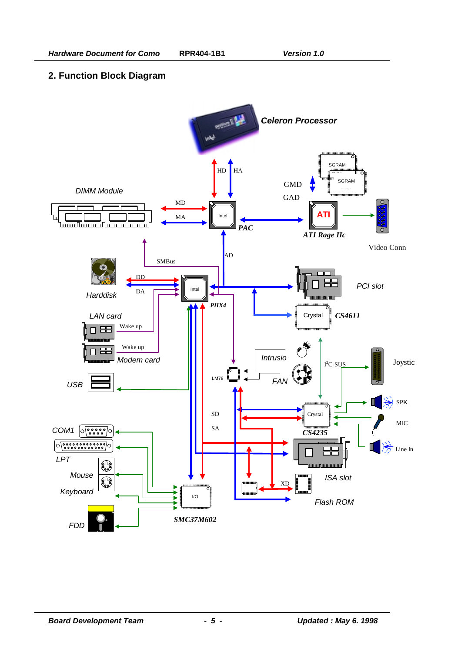# **2. Function Block Diagram**

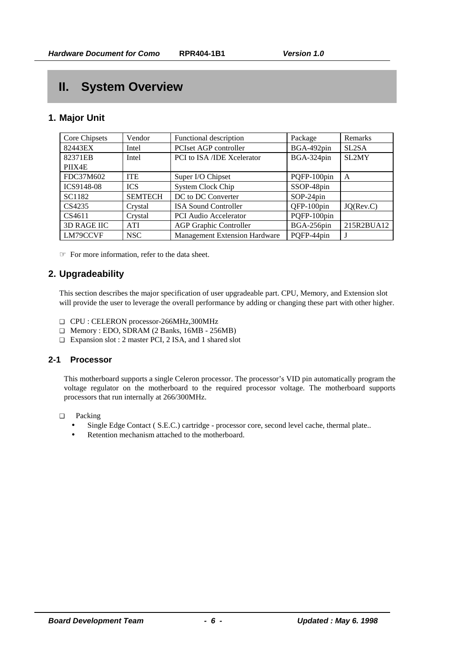# **II. System Overview**

# **1. Major Unit**

| Core Chipsets      | Vendor         | Functional description               | Package     | Remarks            |
|--------------------|----------------|--------------------------------------|-------------|--------------------|
| 82443EX            | Intel          | PCIset AGP controller                | BGA-492pin  | SL <sub>2</sub> SA |
| 82371EB            | Intel          | PCI to ISA /IDE Xcelerator           | BGA-324pin  | SL2MY              |
| PIIX4E             |                |                                      |             |                    |
| FDC37M602          | <b>ITE</b>     | Super I/O Chipset                    | PQFP-100pin | A                  |
| ICS9148-08         | <b>ICS</b>     | <b>System Clock Chip</b>             | SSOP-48pin  |                    |
| SC1182             | <b>SEMTECH</b> | DC to DC Converter                   | $SOP-24pin$ |                    |
| CS4235             | Crystal        | <b>ISA Sound Controller</b>          | QFP-100pin  | JQ(Rev.C)          |
| CS4611             | Crystal        | <b>PCI</b> Audio Accelerator         | PQFP-100pin |                    |
| <b>3D RAGE IIC</b> | <b>ATI</b>     | <b>AGP Graphic Controller</b>        | BGA-256pin  | 215R2BUA12         |
| LM79CCVF           | <b>NSC</b>     | <b>Management Extension Hardware</b> | PQFP-44pin  |                    |

☞ For more information, refer to the data sheet.

# **2. Upgradeability**

This section describes the major specification of user upgradeable part. CPU, Memory, and Extension slot will provide the user to leverage the overall performance by adding or changing these part with other higher.

- ❑ CPU : CELERON processor-266MHz,300MHz
- ❑ Memory : EDO, SDRAM (2 Banks, 16MB 256MB)
- ❑ Expansion slot : 2 master PCI, 2 ISA, and 1 shared slot

### **2-1 Processor**

This motherboard supports a single Celeron processor. The processor's VID pin automatically program the voltage regulator on the motherboard to the required processor voltage. The motherboard supports processors that run internally at 266/300MHz.

- ❑ Packing
	- Single Edge Contact ( S.E.C.) cartridge processor core, second level cache, thermal plate..
	- Retention mechanism attached to the motherboard.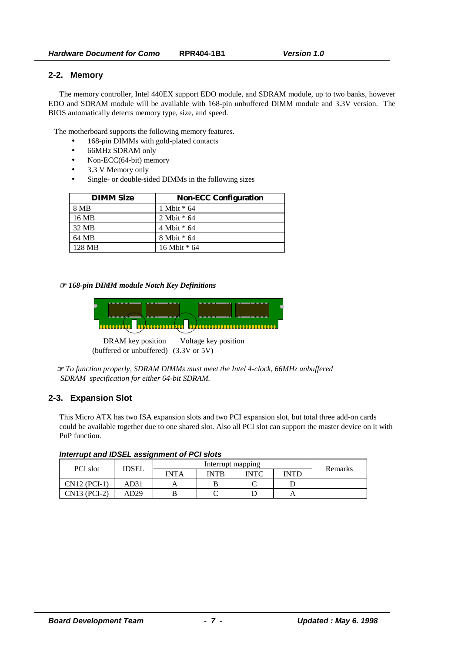### **2-2. Memory**

The memory controller, Intel 440EX support EDO module, and SDRAM module, up to two banks, however EDO and SDRAM module will be available with 168-pin unbuffered DIMM module and 3.3V version. The BIOS automatically detects memory type, size, and speed.

The motherboard supports the following memory features.

- 168-pin DIMMs with gold-plated contacts
- 66MHz SDRAM only
- Non-ECC(64-bit) memory
- 3.3 V Memory only
- Single- or double-sided DIMMs in the following sizes

| <b>DIMM Size</b> | <b>Non-ECC Configuration</b> |
|------------------|------------------------------|
| 8 MB             | 1 Mbit * 64                  |
| 16 MB            | 2 Mbit $*$ 64                |
| 32 MB            | $4$ Mbit $*$ 64              |
| 64 MB            | 8 Mbit * 64                  |
| 128 MB           | 16 Mbit * 64                 |

☞ *168-pin DIMM module Notch Key Definitions*



DRAM key position Voltage key position (buffered or unbuffered) (3.3V or 5V)

☞ *To function properly, SDRAM DIMMs must meet the Intel 4-clock, 66MHz unbuffered SDRAM specification for either 64-bit SDRAM.*

### **2-3. Expansion Slot**

This Micro ATX has two ISA expansion slots and two PCI expansion slot, but total three add-on cards could be available together due to one shared slot. Also all PCI slot can support the master device on it with PnP function.

| Interrupt and IDSEL assignment of PCI slots |  |  |  |  |  |
|---------------------------------------------|--|--|--|--|--|
|---------------------------------------------|--|--|--|--|--|

| <b>PCI</b> slot | <b>IDSEL</b> |             | Interrupt mapping |             |             | Remarks |
|-----------------|--------------|-------------|-------------------|-------------|-------------|---------|
|                 |              | <b>INTA</b> | <b>INTR</b>       | <b>INTC</b> | <b>INTD</b> |         |
| $CN12$ (PCI-1)  | AD31         |             |                   |             |             |         |
| CN13 (PCI-2)    | AD29         |             |                   |             |             |         |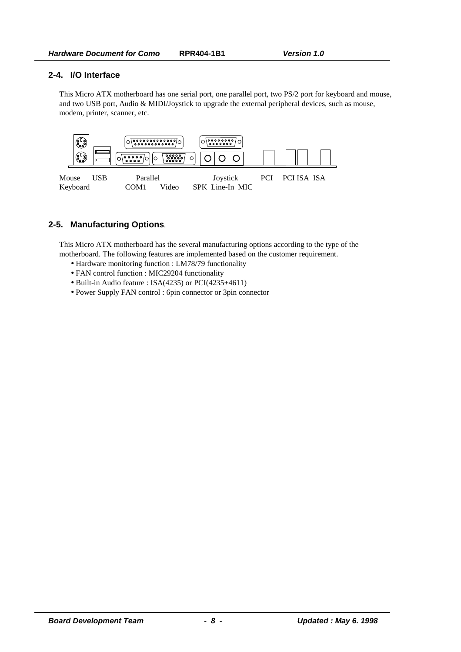### **2-4. I/O Interface**

This Micro ATX motherboard has one serial port, one parallel port, two PS/2 port for keyboard and mouse, and two USB port, Audio & MIDI/Joystick to upgrade the external peripheral devices, such as mouse, modem, printer, scanner, etc.



# **2-5. Manufacturing Options**.

This Micro ATX motherboard has the several manufacturing options according to the type of the motherboard. The following features are implemented based on the customer requirement.

- Hardware monitoring function : LM78/79 functionality
- FAN control function : MIC29204 functionality
- Built-in Audio feature : ISA(4235) or PCI(4235+4611)
- Power Supply FAN control : 6pin connector or 3pin connector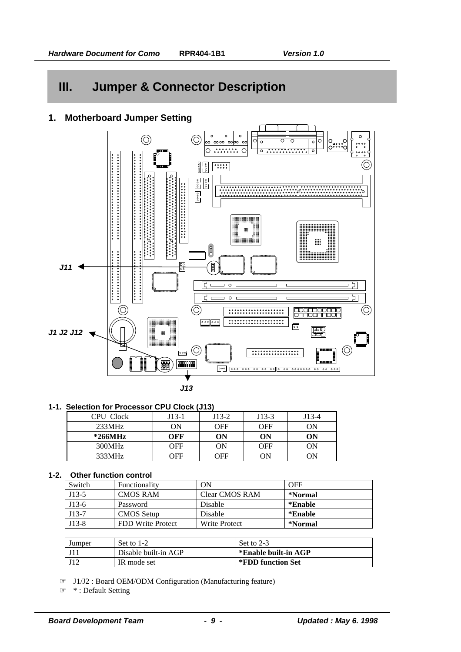# **III. Jumper & Connector Description**

# **1. Motherboard Jumper Setting**



### **1-1. Selection for Processor CPU Clock (J13)**

| CPU Clock | $J13-1$ | J13-2 | $J13-3$    | J13-4 |
|-----------|---------|-------|------------|-------|
| 233MHz    | ON      | OFF   | <b>OFF</b> | ON    |
| $*266MHz$ | OFF     | ON    | ON         | ON    |
| 300MHz    | OFF     | ON    | <b>OFF</b> | OΝ    |
| 333MHz    | OFF     | OFF   | ON         | ON    |

### **1-2. Other function control**

| Switch  | Functionality     | ON             | <b>OFF</b> |
|---------|-------------------|----------------|------------|
| $J13-5$ | <b>CMOS RAM</b>   | Clear CMOS RAM | *Normal    |
| $J13-6$ | Password          | Disable        | *Enable    |
| $J13-7$ | <b>CMOS Setup</b> | Disable        | *Enable    |
| $J13-8$ | FDD Write Protect | Write Protect  | *Normal    |

| Jumper | Set to $1-2$         | Set to 2-3           |
|--------|----------------------|----------------------|
|        | Disable built-in AGP | *Enable built-in AGP |
|        | IR mode set          | *FDD function Set    |

☞ J1/J2 : Board OEM/ODM Configuration (Manufacturing feature)

☞ \* : Default Setting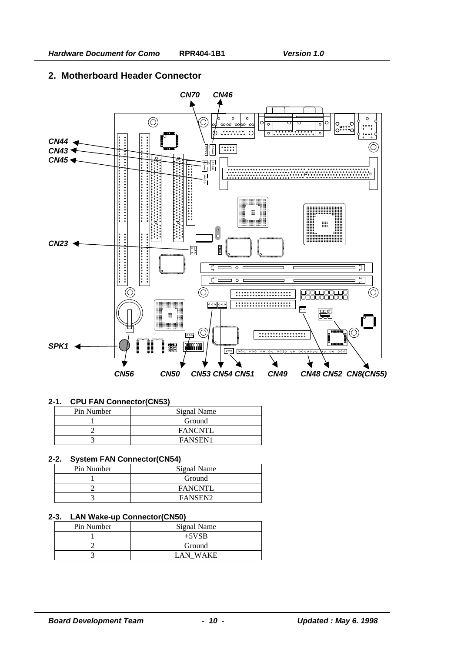# **2. Motherboard Header Connector**



### **2-1. CPU FAN Connector(CN53)**

| Pin Number | Signal Name    |
|------------|----------------|
|            | Ground         |
|            | <b>FANCNTL</b> |
|            | FANSEN1        |

### **2-2. System FAN Connector(CN54)**

| Pin Number | Signal Name         |
|------------|---------------------|
|            | Ground              |
|            | <b>FANCNTL</b>      |
|            | FANSEN <sub>2</sub> |

### **2-3. LAN Wake-up Connector(CN50)**

| Pin Number | Signal Name         |
|------------|---------------------|
|            | $+5VSB$             |
|            | Ground              |
|            | <b>WAKE</b><br>I AN |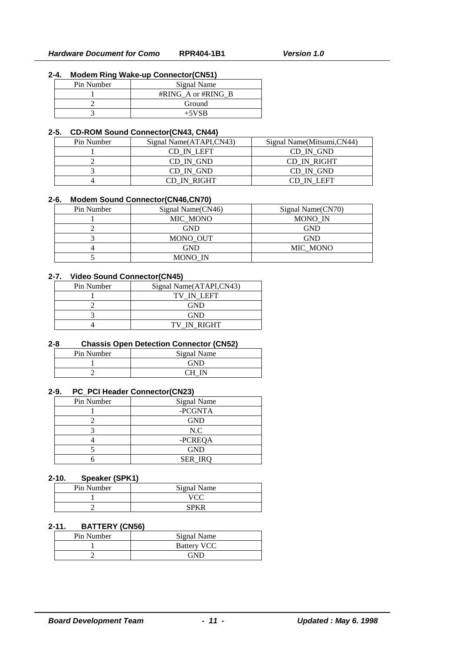### **2-4. Modem Ring Wake-up Connector(CN51)**

| Pin Number | Signal Name        |
|------------|--------------------|
|            | #RING A or #RING B |
|            | Ground             |
|            | $+5VSB$            |

#### **2-5. CD-ROM Sound Connector(CN43, CN44)**

| Pin Number | Signal Name(ATAPI,CN43) | Signal Name(Mitsumi, CN44) |
|------------|-------------------------|----------------------------|
|            | CD IN LEFT              | CD IN GND                  |
|            | CD IN GND               | CD IN RIGHT                |
|            | CD IN GND               | CD IN GND                  |
|            | CD IN RIGHT             | CD IN LEFT                 |

#### **2-6. Modem Sound Connector(CN46,CN70)**

| Pin Number | Signal Name(CN46) | Signal Name(CN70) |
|------------|-------------------|-------------------|
|            | MIC MONO          | MONO IN           |
|            | GND               | GND               |
|            | MONO OUT          | GND               |
|            | GND               | MIC MONO          |
|            | MONO IN           |                   |

## **2-7. Video Sound Connector(CN45)**

| Pin Number | Signal Name(ATAPI,CN43) |
|------------|-------------------------|
|            | TV IN LEFT              |
|            | <b>GND</b>              |
|            | <b>GND</b>              |
|            | TV IN RIGHT             |

### **2-8 Chassis Open Detection Connector (CN52)**

| Pin Number | Signal Name |
|------------|-------------|
|            | FМГ         |
|            |             |

#### **2-9. PC\_PCI Header Connector(CN23)**

| Pin Number | Signal Name    |
|------------|----------------|
|            | -PCGNTA        |
|            | <b>GND</b>     |
|            | N.C            |
|            | -PCREQA        |
|            | <b>GND</b>     |
|            | <b>SER IRO</b> |

### **2-10. Speaker (SPK1)**

| Pin Number | Signal Name |  |  |
|------------|-------------|--|--|
|            |             |  |  |
|            |             |  |  |

### **2-11. BATTERY (CN56)**

| Pin Number | Signal Name        |  |  |
|------------|--------------------|--|--|
|            | <b>Battery VCC</b> |  |  |
|            |                    |  |  |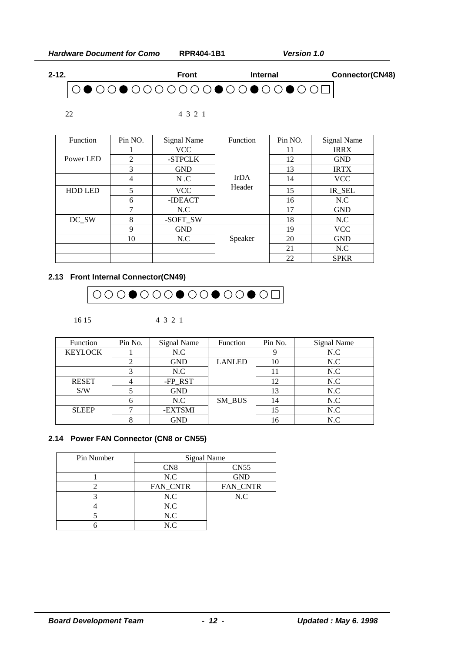*Hardware Document for Como* **RPR404-1B1** *Version 1.0*





22 4 3 2 1

| <b>Function</b> | Pin NO. | Signal Name | Function              | Pin NO. | <b>Signal Name</b> |
|-----------------|---------|-------------|-----------------------|---------|--------------------|
| Power LED       |         | <b>VCC</b>  |                       | 11      | <b>IRRX</b>        |
|                 | 2       | -STPCLK     | <b>IrDA</b><br>Header | 12      | <b>GND</b>         |
|                 | 3       | <b>GND</b>  |                       | 13      | <b>IRTX</b>        |
|                 | 4       | N.C         |                       | 14      | <b>VCC</b>         |
| <b>HDD LED</b>  | 5       | <b>VCC</b>  |                       | 15      | IR_SEL             |
|                 | 6       | -IDEACT     |                       | 16      | N.C                |
|                 | 7       | N.C         |                       | 17      | <b>GND</b>         |
| DC_SW           | 8       | -SOFT_SW    |                       | 18      | N.C                |
|                 | 9       | <b>GND</b>  |                       | 19      | <b>VCC</b>         |
|                 | 10      | N.C         | Speaker               | 20      | <b>GND</b>         |
|                 |         |             |                       | 21      | N.C                |
|                 |         |             |                       | 22      | <b>SPKR</b>        |

# **2.13 Front Internal Connector(CN49)**



16 15 4 3 2 1

| Function       | Pin No. | Signal Name | Function      | Pin No. | Signal Name |
|----------------|---------|-------------|---------------|---------|-------------|
| <b>KEYLOCK</b> |         | N.C         |               |         | N.C         |
|                |         | <b>GND</b>  | <b>LANLED</b> | 10      | N.C         |
|                |         | N.C         |               |         | N.C         |
| <b>RESET</b>   |         | -FP_RST     |               | 12      | N.C         |
| S/W            |         | <b>GND</b>  |               | 13      | N.C         |
|                |         | N.C         | SM BUS        | 14      | N.C         |
| <b>SLEEP</b>   |         | -EXTSMI     |               | 15      | N.C         |
|                |         | GND         |               | 16      | N.C         |

### **2.14 Power FAN Connector (CN8 or CN55)**

| Pin Number | <b>Signal Name</b> |                  |  |
|------------|--------------------|------------------|--|
|            | CN <sub>8</sub>    | CN <sub>55</sub> |  |
|            | N.C                | <b>GND</b>       |  |
|            | FAN_CNTR           | FAN_CNTR         |  |
|            | N.C                | N.C              |  |
|            | N.C                |                  |  |
|            | N.C                |                  |  |
|            | N.C                |                  |  |